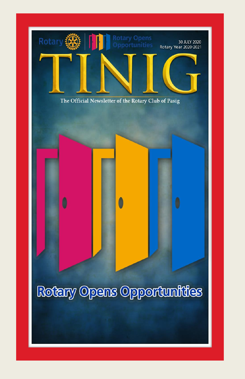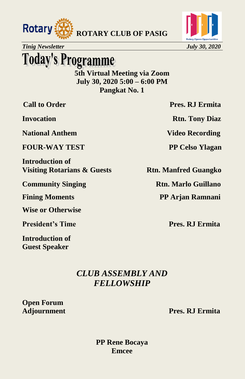



**Today's Programme** 

**5th Virtual Meeting via Zoom July 30, 2020 5:00 – 6:00 PM Pangkat No. 1**

**National Anthem Video Recording** 

**FOUR-WAY TEST PP Celso Ylagan** 

**Introduction of Visiting Rotarians & Guests Rtn. Manfred Guangko** 

**Wise or Otherwise** 

**President's Time Pres. RJ Ermita** 

**Introduction of Guest Speaker** 

**Call to Order Pres. RJ Ermita** 

**Invocation** Rtn. Tony Diaz

**Community Singing Rtn. Marlo Guillano** 

**Fining Moments PP Arjan Ramnani**

### *CLUB ASSEMBLY AND FELLOWSHIP*

**Open Forum**

**Adjournment Pres. RJ Ermita**

**PP Rene Bocaya Emcee**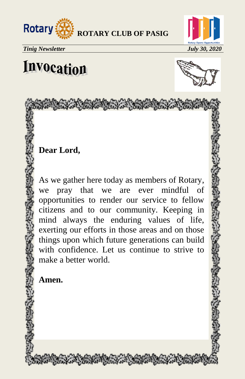

A MARINA MARIA MARITI



# Invocation



### **Dear Lord,**

As we gather here today as members of Rotary, we pray that we are ever mindful of opportunities to render our service to fellow citizens and to our community. Keeping in mind always the enduring values of life, exerting our efforts in those areas and on those things upon which future generations can build with confidence. Let us continue to strive to make a better world.

**Amen.**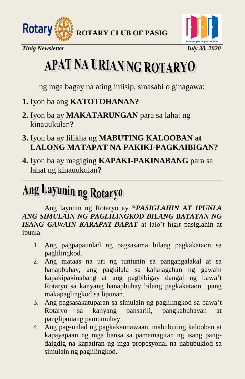





# APAT NA URIAN NG ROTARYO

ng mga bagay na ating iniisip, sinasabi o ginagawa:

- **1.** Iyon ba ang **KATOTOHANAN?**
- **2.** Iyon ba ay **MAKATARUNGAN** para sa lahat ng kinauukulan**?**
- **3.** Iyon ba ay lilikha ng **MABUTING KALOOBAN at LALONG MATAPAT NA PAKIKI-PAGKAIBIGAN?**
- **4.** Iyon ba ay magiging **KAPAKI-PAKINABANG** para sa lahat ng kinauukulan**?**

# Ang Layunin ng Rotaryo

Ang layunin ng Rotaryo ay **"***PASIGLAHIN AT IPUNLA ANG SIMULAIN NG PAGLILINGKOD BILANG BATAYAN NG ISANG GAWAIN KARAPAT-DAPAT* at lalo't higit pasiglahin at ipunla:

- 1. Ang pagpapaunlad ng pagsasama bilang pagkakataon sa paglilingkod.
- 2. Ang mataas na uri ng tuntunin sa pangangalakal at sa hanapbuhay, ang pagkilala sa kahalagahan ng gawain kapakipakinabang at ang pagbibigay dangal ng bawa't Rotaryo sa kanyang hanapbuhay bilang pagkakataon upang makapaglingkod sa lipunan.
- 3. Ang pagsasakatuparan sa simulain ng paglilingkod sa bawa't Rotaryo sa kanyang pansarili, pangkabuhayan at panglipunang pamumuhay.
- 4. Ang pag-unlad ng pagkakaunawaan, mabubuting kalooban at kapayapaan ng mga bansa sa pamamagitan ng isang pangdaigdig na kapatiran ng mga propesyonal na nabubuklod sa simulain ng paglilingkod.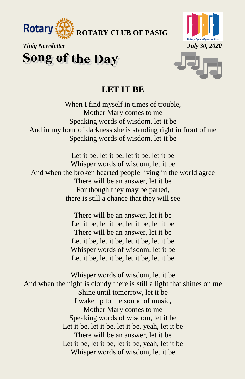



**Song of the Day** 



### **LET IT BE**

When I find myself in times of trouble, Mother Mary comes to me Speaking words of wisdom, let it be And in my hour of darkness she is standing right in front of me Speaking words of wisdom, let it be

Let it be, let it be, let it be, let it be Whisper words of wisdom, let it be And when the broken hearted people living in the world agree There will be an answer, let it be For though they may be parted, there is still a chance that they will see

> There will be an answer, let it be Let it be, let it be, let it be, let it be There will be an answer, let it be Let it be, let it be, let it be, let it be Whisper words of wisdom, let it be Let it be, let it be, let it be, let it be

Whisper words of wisdom, let it be And when the night is cloudy there is still a light that shines on me Shine until tomorrow, let it be I wake up to the sound of music, Mother Mary comes to me Speaking words of wisdom, let it be Let it be, let it be, let it be, yeah, let it be There will be an answer, let it be Let it be, let it be, let it be, yeah, let it be Whisper words of wisdom, let it be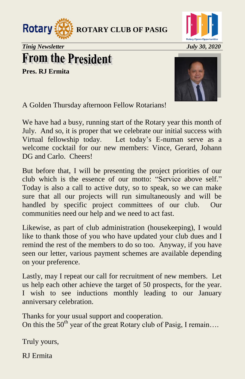



## **From the President**

**Pres. RJ Ermita**



A Golden Thursday afternoon Fellow Rotarians!

We have had a busy, running start of the Rotary year this month of July. And so, it is proper that we celebrate our initial success with Virtual fellowship today. Let today's E-numan serve as a welcome cocktail for our new members: Vince, Gerard, Johann DG and Carlo. Cheers!

But before that, I will be presenting the project priorities of our club which is the essence of our motto: "Service above self." Today is also a call to active duty, so to speak, so we can make sure that all our projects will run simultaneously and will be handled by specific project committees of our club. Our communities need our help and we need to act fast.

Likewise, as part of club administration (housekeeping), I would like to thank those of you who have updated your club dues and I remind the rest of the members to do so too. Anyway, if you have seen our letter, various payment schemes are available depending on your preference.

Lastly, may I repeat our call for recruitment of new members. Let us help each other achieve the target of 50 prospects, for the year. I wish to see inductions monthly leading to our January anniversary celebration.

Thanks for your usual support and cooperation. On this the  $50<sup>th</sup>$  year of the great Rotary club of Pasig, I remain...

Truly yours,

RJ Ermita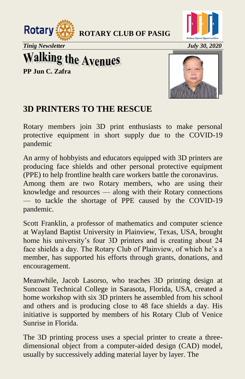



*Tinig Newsletter July 30, 2020* 

## **Walking the Avenues**

**PP Jun C. Zafra** 



### **3D PRINTERS TO THE RESCUE**

Rotary members join 3D print enthusiasts to make personal protective equipment in short supply due to the COVID-19 pandemic

An army of hobbyists and educators equipped with 3D printers are producing face shields and other personal protective equipment (PPE) to help frontline health care workers battle the coronavirus.

Among them are two Rotary members, who are using their knowledge and resources — along with their Rotary connections — to tackle the shortage of PPE caused by the COVID-19 pandemic.

Scott Franklin, a professor of mathematics and computer science at Wayland Baptist University in Plainview, Texas, USA, brought home his university's four 3D printers and is creating about 24 face shields a day. The Rotary Club of Plainview, of which he's a member, has supported his efforts through grants, donations, and encouragement.

Meanwhile, Jacob Lasorso, who teaches 3D printing design at Suncoast Technical College in Sarasota, Florida, USA, created a home workshop with six 3D printers he assembled from his school and others and is producing close to 48 face shields a day. His initiative is supported by members of his Rotary Club of Venice Sunrise in Florida.

The 3D printing process uses a special printer to create a threedimensional object from a computer-aided design (CAD) model, usually by successively adding material layer by layer. The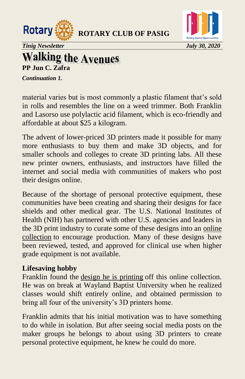



*Tinig Newsletter July 30, 2020* 

# **Walking the Avenues**<br>PP Jun C. Zafra

*Continuation 1.* 

material varies but is most commonly a plastic filament that's sold in rolls and resembles the line on a weed trimmer. Both Franklin and Lasorso use polylactic acid filament, which is eco-friendly and affordable at about \$25 a kilogram.

The advent of lower-priced 3D printers made it possible for many more enthusiasts to buy them and make 3D objects, and for smaller schools and colleges to create 3D printing labs. All these new printer owners, enthusiasts, and instructors have filled the internet and social media with communities of makers who post their designs online.

Because of the shortage of personal protective equipment, these communities have been creating and sharing their designs for face shields and other medical gear. The U.S. National Institutes of Health (NIH) has partnered with other U.S. agencies and leaders in the 3D print industry to curate some of these designs into an [online](https://3dprint.nih.gov/collections/covid-19-response)  [collection](https://3dprint.nih.gov/collections/covid-19-response) to encourage production. Many of these designs have been reviewed, tested, and approved for clinical use when higher grade equipment is not available.

#### **Lifesaving hobby**

Franklin found the [design he is printing](https://3dprint.nih.gov/discover/3dpx-013306) off this online collection. He was on break at Wayland Baptist University when he realized classes would shift entirely online, and obtained permission to bring all four of the university's 3D printers home.

Franklin admits that his initial motivation was to have something to do while in isolation. But after seeing social media posts on the maker groups he belongs to about using 3D printers to create personal protective equipment, he knew he could do more.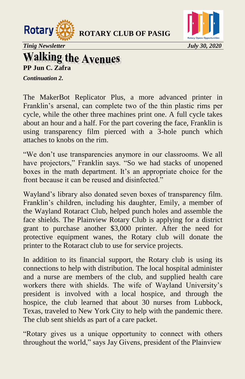



*Tinig Newsletter July 30, 2020* 

### **Walking the Avenues**

**PP Jun C. Zafra** 

*Continuation 2.* 

The MakerBot Replicator Plus, a more advanced printer in Franklin's arsenal, can complete two of the thin plastic rims per cycle, while the other three machines print one. A full cycle takes about an hour and a half. For the part covering the face, Franklin is using transparency film pierced with a 3-hole punch which attaches to knobs on the rim.

"We don't use transparencies anymore in our classrooms. We all have projectors," Franklin says. "So we had stacks of unopened boxes in the math department. It's an appropriate choice for the front because it can be reused and disinfected."

Wayland's library also donated seven boxes of transparency film. Franklin's children, including his daughter, Emily, a member of the Wayland Rotaract Club, helped punch holes and assemble the face shields. The Plainview Rotary Club is applying for a district grant to purchase another \$3,000 printer. After the need for protective equipment wanes, the Rotary club will donate the printer to the Rotaract club to use for service projects.

In addition to its financial support, the Rotary club is using its connections to help with distribution. The local hospital administer and a nurse are members of the club, and supplied health care workers there with shields. The wife of Wayland University's president is involved with a local hospice, and through the hospice, the club learned that about 30 nurses from Lubbock, Texas, traveled to New York City to help with the pandemic there. The club sent shields as part of a care packet.

"Rotary gives us a unique opportunity to connect with others throughout the world," says Jay Givens, president of the Plainview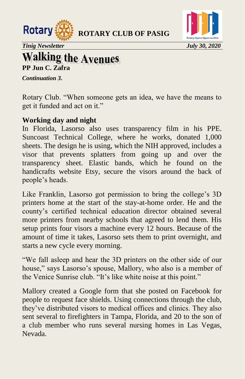



*Tinig Newsletter July 30, 2020* 

# **Walking the Avenues**

*Continuation 3.* 

Rotary Club. "When someone gets an idea, we have the means to get it funded and act on it."

#### **Working day and night**

In Florida, Lasorso also uses transparency film in his PPE. Suncoast Technical College, where he works, donated 1,000 sheets. The design he is using, which the NIH approved, includes a visor that prevents splatters from going up and over the transparency sheet. Elastic bands, which he found on the handicrafts website Etsy, secure the visors around the back of people's heads.

Like Franklin, Lasorso got permission to bring the college's 3D printers home at the start of the stay-at-home order. He and the county's certified technical education director obtained several more printers from nearby schools that agreed to lend them. His setup prints four visors a machine every 12 hours. Because of the amount of time it takes, Lasorso sets them to print overnight, and starts a new cycle every morning.

―We fall asleep and hear the 3D printers on the other side of our house," says Lasorso's spouse, Mallory, who also is a member of the Venice Sunrise club. "It's like white noise at this point."

Mallory created a Google form that she posted on Facebook for people to request face shields. Using connections through the club, they've distributed visors to medical offices and clinics. They also sent several to firefighters in Tampa, Florida, and 20 to the son of a club member who runs several nursing homes in Las Vegas, Nevada.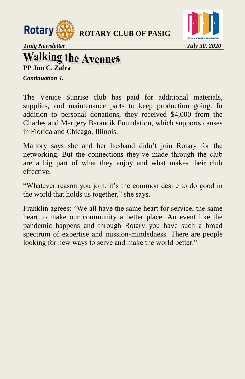



*Tinig Newsletter July 30, 2020* 

## **Walking the Avenues**

**PP Jun C. Zafra** 

*Continuation 4.* 

The Venice Sunrise club has paid for additional materials, supplies, and maintenance parts to keep production going. In addition to personal donations, they received \$4,000 from the Charles and Margery Barancik Foundation, which supports causes in Florida and Chicago, Illinois.

Mallory says she and her husband didn't join Rotary for the networking. But the connections they've made through the club are a big part of what they enjoy and what makes their club effective.

―Whatever reason you join, it's the common desire to do good in the world that holds us together," she says.

Franklin agrees: "We all have the same heart for service, the same heart to make our community a better place. An event like the pandemic happens and through Rotary you have such a broad spectrum of expertise and mission-mindedness. There are people looking for new ways to serve and make the world better."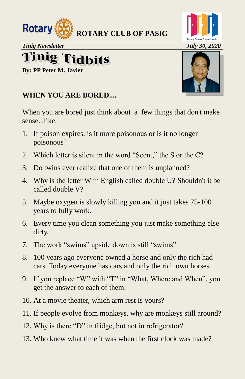



*Tinig Newsletter July 30, 2020* 

# **Tinig Tidbits**

**By: PP Peter M. Javier** 

#### **WHEN YOU ARE BORED....**

When you are bored just think about a few things that don't make sense...like:

- 1. If poison expires, is it more poisonous or is it no longer poisonous?
- 2. Which letter is silent in the word "Scent," the S or the C?
- 3. Do twins ever realize that one of them is unplanned?
- 4. Why is the letter W in English called double U? Shouldn't it be called double V?
- 5. Maybe oxygen is slowly killing you and it just takes 75-100 years to fully work.
- 6. Every time you clean something you just make something else dirty.
- 7. The work "swims" upside down is still "swims".
- 8. 100 years ago everyone owned a horse and only the rich had cars. Today everyone has cars and only the rich own horses.
- 9. If you replace "W" with "T" in "What, Where and When", you get the answer to each of them.
- 10. At a movie theater, which arm rest is yours?
- 11. If people evolve from monkeys, why are monkeys still around?
- 12. Why is there "D" in fridge, but not in refrigerator?
- 13. Who knew what time it was when the first clock was made?



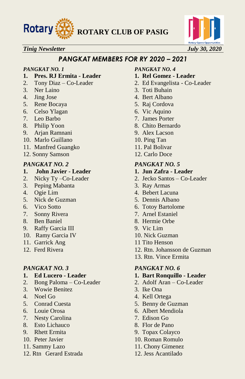



#### *PANGKAT MEMBERS FOR RY 2020 – 2021*

- **1. Pres. RJ Ermita Leader 1. Rel Gomez Leader**
- 
- 
- 
- 5. Rene Bocaya 5. Raj Cordova
- 6. Celso Ylagan 6. Vic Aquino
- 
- 
- 9. Arjan Ramnani 9. Alex Lacson
- 10. Marlo Guillano 10. Ping Tan
- 11. Manfred Guangko 11. Pal Bolivar
- 12. Sonny Samson 12. Carlo Doce

- **1. John Javier Leader 1. Jun Zafra Leader**
- 
- 3. Peping Mabanta 3. Ray Armas
- 
- 5. Nick de Guzman 5. Dennis Albano
- 
- 7. Sonny Rivera 7. Arnel Estaniel
- 
- 9. Raffy Garcia III 9. Vic Lim
- 10. Ramy Garcia IV 10. Nick Guzman
- 11. Garrick Ang 11 Tito Henson
- 

- 
- 2. Bong Paloma Co-Leader 2. Adolf Aran Co-Leader
- 3. Wowie Benitez 3. Ike Ona
- 
- 
- 
- 7. Nesty Carolina 7. Edison Go
- 8. Esto Lichauco 8. Flor de Pano
- 
- 
- 
- 12. Rtn Gerard Estrada 12. Jess Acantilado
- *PANGKAT NO. 1 PANGKAT NO. 4* 
	-
- 2. Tony Diaz Co-Leader 2. Ed Evangelista Co-Leader
- 3. Ner Laino 3. Toti Buhain
- 4. Jing Jose 4. Bert Albano
	-
	-
- 7. Leo Barbo 7. James Porter
- 8. Philip Yoon 8. Chito Bernardo
	-
	-
	-
	-

#### *PANGKAT NO. 2 PANGKAT NO. 5*

- 
- 2. Nicky Ty –Co-Leader 2. Jecko Santos Co-Leader
	-
- 4. Ogie Lim 4. Bebert Lacuna
	-
- 6. Vico Sotto 6. Totoy Bartolome
	-
- 8. Ben Baniel 8. Hermie Orbe
	-
	-
	-
- 12. Ferd Rivera 12. Rtn. Johansson de Guzman
	- 13. Rtn. Vince Ermita

#### *PANGKAT NO. 3 PANGKAT NO. 6*

- **1. Ed Lucero Leader 1. Bart Ronquillo Leader**
	-
	-
- 4. Noel Go 4. Kell Ortega
- 5. Conrad Cuesta 5. Benny de Guzman
- 6. Louie Orosa 6. Albert Mendiola
	-
	-
- 9. Rhett Ermita 9. Topax Colayco
- 10. Peter Javier 10. Roman Romulo
- 11. Sammy Lazo 11. Chony Gimenez
	-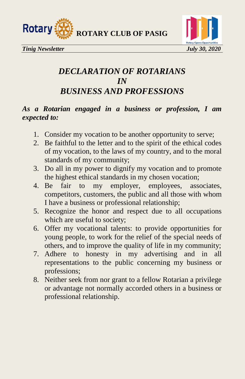



### *DECLARATION OF ROTARIANS IN BUSINESS AND PROFESSIONS*

#### *As a Rotarian engaged in a business or profession, I am expected to:*

- 1. Consider my vocation to be another opportunity to serve;
- 2. Be faithful to the letter and to the spirit of the ethical codes of my vocation, to the laws of my country, and to the moral standards of my community;
- 3. Do all in my power to dignify my vocation and to promote the highest ethical standards in my chosen vocation;
- 4. Be fair to my employer, employees, associates, competitors, customers, the public and all those with whom I have a business or professional relationship;
- 5. Recognize the honor and respect due to all occupations which are useful to society;
- 6. Offer my vocational talents: to provide opportunities for young people, to work for the relief of the special needs of others, and to improve the quality of life in my community;
- 7. Adhere to honesty in my advertising and in all representations to the public concerning my business or professions;
- 8. Neither seek from nor grant to a fellow Rotarian a privilege or advantage not normally accorded others in a business or professional relationship.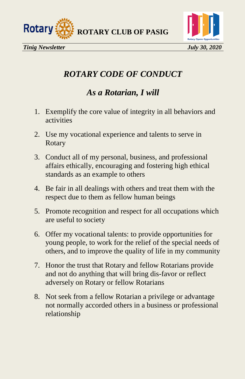



### *ROTARY CODE OF CONDUCT*

### *As a Rotarian, I will*

- 1. Exemplify the core value of integrity in all behaviors and activities
- 2. Use my vocational experience and talents to serve in Rotary
- 3. Conduct all of my personal, business, and professional affairs ethically, encouraging and fostering high ethical standards as an example to others
- 4. Be fair in all dealings with others and treat them with the respect due to them as fellow human beings
- 5. Promote recognition and respect for all occupations which are useful to society
- 6. Offer my vocational talents: to provide opportunities for young people, to work for the relief of the special needs of others, and to improve the quality of life in my community
- 7. Honor the trust that Rotary and fellow Rotarians provide and not do anything that will bring dis-favor or reflect adversely on Rotary or fellow Rotarians
- 8. Not seek from a fellow Rotarian a privilege or advantage not normally accorded others in a business or professional relationship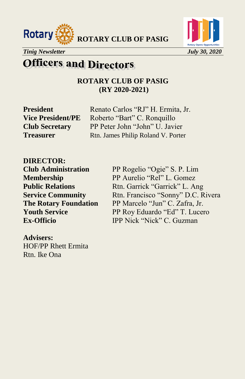



### **Officers and Directors**

**ROTARY CLUB OF PASIG (RY 2020-2021)**

**President** Renato Carlos "RJ" H. Ermita, Jr. Vice President/PE Roberto "Bart" C. Ronquillo **Club Secretary** PP Peter John "John" U. Javier **Treasurer** Rtn. James Philip Roland V. Porter

**DIRECTOR:** 

**Advisers:**  HOF/PP Rhett Ermita Rtn. Ike Ona

**Club Administration** PP Rogelio "Ogie" S. P. Lim **Membership** PP Aurelio "Rel" L. Gomez **Public Relations** Rtn. Garrick "Garrick" L. Ang **Service Community** Rtn. Francisco "Sonny" D.C. Rivera **The Rotary Foundation** PP Marcelo "Jun" C. Zafra, Jr. **Youth Service** PP Roy Eduardo "Ed" T. Lucero **Ex-Officio IPP Nick "Nick" C. Guzman**